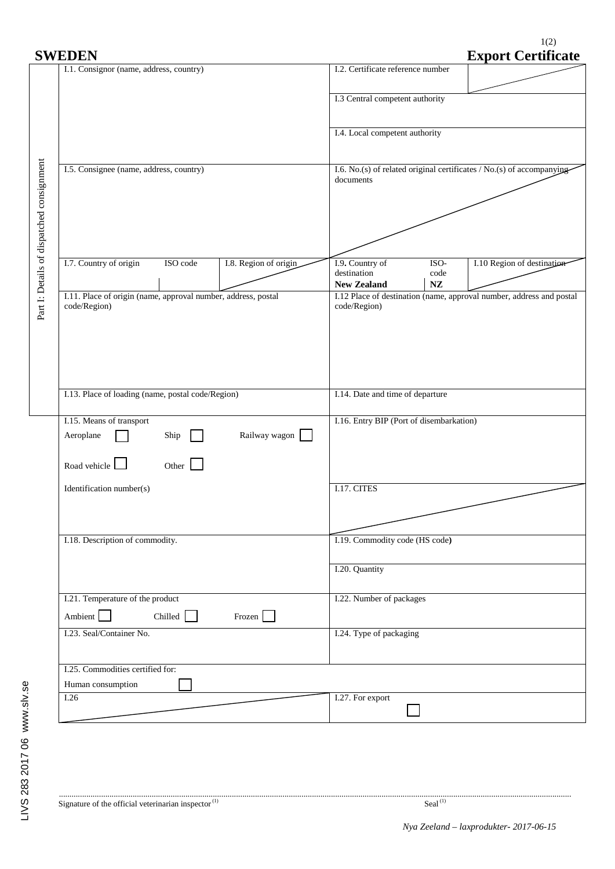$1(2)$ 

| <b>SWEDEN</b>                                                                  | <b>Export Certificate</b>                                                                                                   |  |  |  |
|--------------------------------------------------------------------------------|-----------------------------------------------------------------------------------------------------------------------------|--|--|--|
| I.1. Consignor (name, address, country)                                        | I.2. Certificate reference number                                                                                           |  |  |  |
|                                                                                | I.3 Central competent authority                                                                                             |  |  |  |
|                                                                                | I.4. Local competent authority                                                                                              |  |  |  |
| I.5. Consignee (name, address, country)                                        | I.6. No.(s) of related original certificates / No.(s) of accompanying-<br>documents                                         |  |  |  |
|                                                                                |                                                                                                                             |  |  |  |
|                                                                                |                                                                                                                             |  |  |  |
| I.7. Country of origin<br>ISO code<br>I.8. Region of origin                    | I.10 Region of destination<br>I.9. Country of<br>ISO-<br>destination<br>code                                                |  |  |  |
| I.11. Place of origin (name, approval number, address, postal<br>code/Region)  | $\mathbf{NZ}$<br><b>New Zealand</b><br>I.12 Place of destination (name, approval number, address and postal<br>code/Region) |  |  |  |
|                                                                                |                                                                                                                             |  |  |  |
|                                                                                |                                                                                                                             |  |  |  |
| I.13. Place of loading (name, postal code/Region)                              | I.14. Date and time of departure                                                                                            |  |  |  |
| I.15. Means of transport<br>Railway wagon<br>Aeroplane<br>Ship<br>$\mathbf{I}$ | I.16. Entry BIP (Port of disembarkation)                                                                                    |  |  |  |
| Road vehicle<br>Other $\Box$                                                   |                                                                                                                             |  |  |  |
| Identification number(s)                                                       | I.17. CITES                                                                                                                 |  |  |  |
| I.18. Description of commodity.                                                | I.19. Commodity code (HS code)                                                                                              |  |  |  |
|                                                                                |                                                                                                                             |  |  |  |
|                                                                                | I.20. Quantity                                                                                                              |  |  |  |
| I.21. Temperature of the product<br>Ambient<br>Chilled    <br>Frozen           | I.22. Number of packages                                                                                                    |  |  |  |
| I.23. Seal/Container No.                                                       | I.24. Type of packaging                                                                                                     |  |  |  |
| I.25. Commodities certified for:<br>Human consumption                          |                                                                                                                             |  |  |  |
| $\overline{1.26}$                                                              | I.27. For export                                                                                                            |  |  |  |